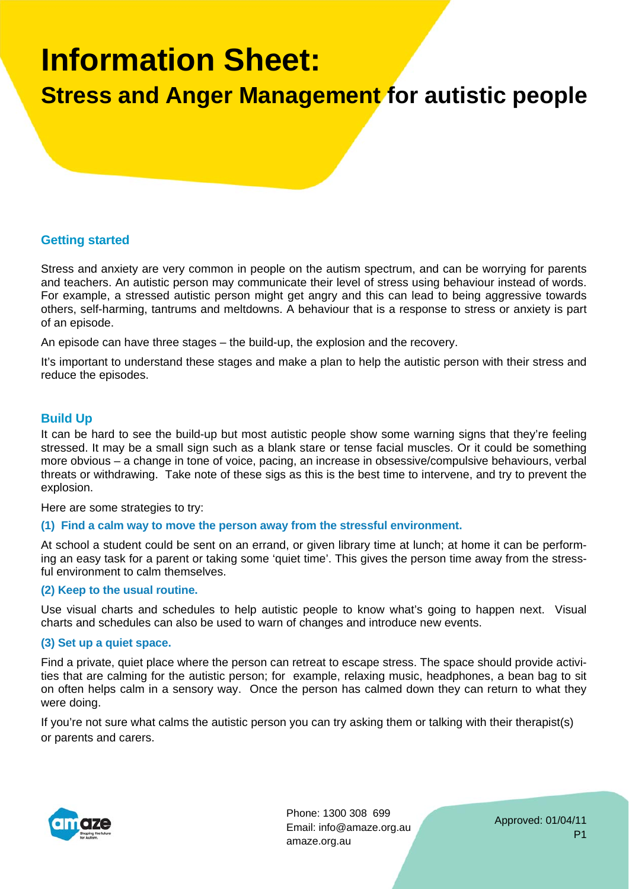# **Information Sheet:**

**Stress and Anger Management for autistic people** 

### **Getting started**

Stress and anxiety are very common in people on the autism spectrum, and can be worrying for parents and teachers. An autistic person may communicate their level of stress using behaviour instead of words. For example, a stressed autistic person might get angry and this can lead to being aggressive towards others, self-harming, tantrums and meltdowns. A behaviour that is a response to stress or anxiety is part of an episode.

An episode can have three stages – the build-up, the explosion and the recovery.

It's important to understand these stages and make a plan to help the autistic person with their stress and reduce the episodes.

#### **Build Up**

It can be hard to see the build-up but most autistic people show some warning signs that they're feeling stressed. It may be a small sign such as a blank stare or tense facial muscles. Or it could be something more obvious – a change in tone of voice, pacing, an increase in obsessive/compulsive behaviours, verbal threats or withdrawing. Take note of these sigs as this is the best time to intervene, and try to prevent the explosion.

Here are some strategies to try:

#### **(1) Find a calm way to move the person away from the stressful environment.**

At school a student could be sent on an errand, or given library time at lunch; at home it can be performing an easy task for a parent or taking some 'quiet time'. This gives the person time away from the stressful environment to calm themselves.

#### **(2) Keep to the usual routine.**

Use visual charts and schedules to help autistic people to know what's going to happen next. Visual charts and schedules can also be used to warn of changes and introduce new events.

#### **(3) Set up a quiet space.**

Find a private, quiet place where the person can retreat to escape stress. The space should provide activities that are calming for the autistic person; for example, relaxing music, headphones, a bean bag to sit on often helps calm in a sensory way. Once the person has calmed down they can return to what they were doing.

If you're not sure what calms the autistic person you can try asking them or talking with their therapist(s) or parents and carers.



Phone: 1300 308 699 Email: info@amaze.org.au amaze.org.au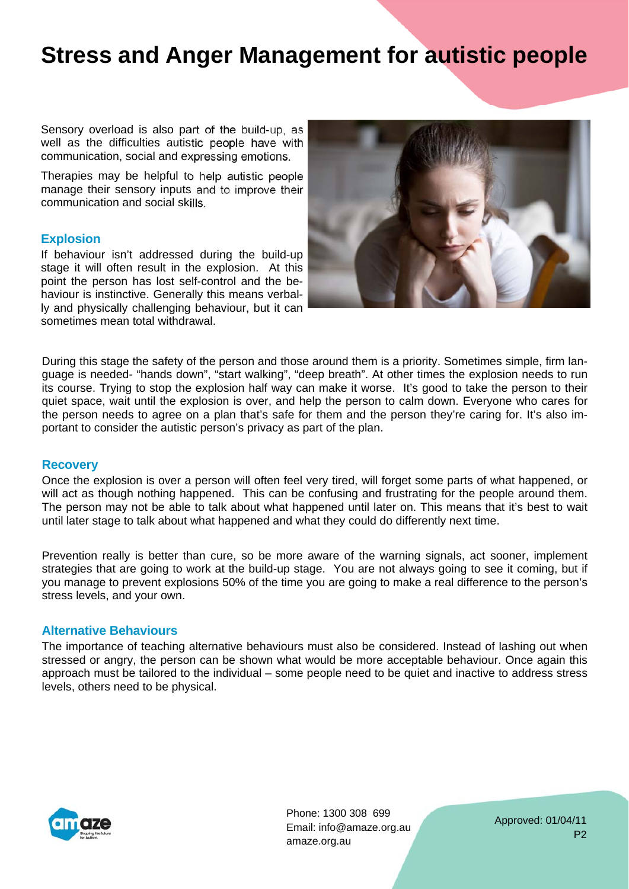## **Stress and Anger Management for autistic people**

Sensory overload is also part of the build-up, as well as the difficulties autistic people have with communication, social and expressing emotions.

Therapies may be helpful to help autistic people manage their sensory inputs and to improve their communication and social skills.

#### **Explosion**

If behaviour isn't addressed during the build-up stage it will often result in the explosion. At this point the person has lost self-control and the behaviour is instinctive. Generally this means verbally and physically challenging behaviour, but it can sometimes mean total withdrawal.



During this stage the safety of the person and those around them is a priority. Sometimes simple, firm language is needed- "hands down", "start walking", "deep breath". At other times the explosion needs to run its course. Trying to stop the explosion half way can make it worse. It's good to take the person to their quiet space, wait until the explosion is over, and help the person to calm down. Everyone who cares for the person needs to agree on a plan that's safe for them and the person they're caring for. It's also important to consider the autistic person's privacy as part of the plan.

#### **Recovery**

Once the explosion is over a person will often feel very tired, will forget some parts of what happened, or will act as though nothing happened. This can be confusing and frustrating for the people around them. The person may not be able to talk about what happened until later on. This means that it's best to wait until later stage to talk about what happened and what they could do differently next time.

Prevention really is better than cure, so be more aware of the warning signals, act sooner, implement strategies that are going to work at the build-up stage. You are not always going to see it coming, but if you manage to prevent explosions 50% of the time you are going to make a real difference to the person's stress levels, and your own.

#### **Alternative Behaviours**

The importance of teaching alternative behaviours must also be considered. Instead of lashing out when stressed or angry, the person can be shown what would be more acceptable behaviour. Once again this approach must be tailored to the individual – some people need to be quiet and inactive to address stress levels, others need to be physical.



Phone: 1300 308 699 Email: info@amaze.org.au amaze.org.au

Approved: 01/04/11 P2